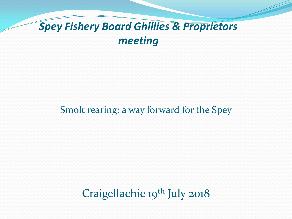### *Spey Fishery Board Ghillies & Proprietors meeting*

### Smolt rearing: a way forward for the Spey

Craigellachie 19<sup>th</sup> July 2018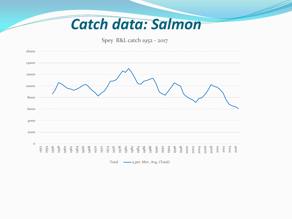## *Catch data: Salmon*

Spey R&L catch 1952 - 2017



Total 5 per. Mov. Avg. (Total)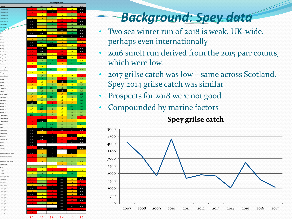|                         | Salmon parr/min |      |         |                  |                 |      |
|-------------------------|-----------------|------|---------|------------------|-----------------|------|
| Location                | 2012            | 2013 | 2014    | 2015             | 2016            | 2017 |
| Gordon Castle           | 1.0             | 4.3  | 2.3     | 1,0              | 3.3             | 0.0  |
| Gordon Castle           | 1.0             | 0.3  | $0.0\,$ | 0.7              | 0.3             | 0.0  |
| Gordon Castle           | 0.7             | 2.3  | 0.7     | 2.3              | 5.0             | 0.3  |
| Gordon Castle           | 1.3             | 1.0  | 4.0     | 3.0              | 3.7             | 0.7  |
| Gordon Castle           | 0.0             | 2.7  | 1.3     | 0.3              | 0.7             | 0.0  |
| Orton Water             | 0.0             | 4.7  | 7.7     | 0.7 <sub>z</sub> | 4.3             | 0.0  |
| Orton Water             | 0.0             | 1.7  | 4.0     | 07               | 4.3             | 4.0  |
| Delfur                  | 1.7             | 2.0  | 4.0     | 0.0              | 6.3             | 0.0  |
| Delfur                  | 0.0             | 0.0  | 3.7     | 1.7              | 8.3             | 0.0  |
| Delfur                  |                 | 2.7  | 1.0     | 0.0              | 0.0             | 0.0  |
| Rothes                  | $\overline{1}$  | 7.0  | 1.7     | 2.0              | 7.0             | 0.7  |
| Rothes                  | 0.0             | 12.0 | 14.0    | 1.3              | 12.7            | 1.3  |
| Amdilly                 | $0.0\,$         | 30   | $0.0\,$ | 1.7              | 3.7             | 0.3  |
| Amdilly                 | 0.3             | 0.0  | 3.0     | 2.0              | 6.3             | 0.0  |
| East Elchies            | 0.3             | 0.0  | 1.0     | 0.3              | 3.7             | 0.0  |
| Craigellachie           | 0.7             | 4.0  | 2.0     | 0.3              | 2.0             | 0.7  |
| Craigellachie           | 0.3             | 0.0  | 3.0     | 0.0              | 2.7             | 0.3  |
| Craigellachie           | 1.0             | 6.7  | 9.7     | 0.7              | 8.0             | 3.3  |
| Aberlour                | 2.0             | 35.7 | 19.7    | 1.3              | 18.7            | 14.3 |
| Kinermony               | 0.7             | 3.0  |         |                  |                 |      |
| Wester Elchies          |                 | 13.7 | 15.7    | 3.7              | 12.3            | 5.3  |
| Delagyle                | 3.0             | 2.3  |         |                  |                 |      |
| Wester Elchies          |                 | 5.7  | 3.3     | 2.3              | 3.3             | 0.3  |
| Laggan                  | 1.0             | 8.3  | 4.3     | n 7              | 4.7             | 6.0  |
| Laggan                  | 0.7             | 3.3  | 1.3     | 0.0              | 7.7             | 2.0  |
| Carron                  | 1.7             | 2.0  | 6.3     | 1.3              | 3.0             | 6.0  |
| Knockando               | 2.3             | 12.7 | 13.0    | 33               | 7.7             | 8.3  |
| Phones                  |                 | 5.3  | 6.3     | 0.0              | 3.7             | 5.3  |
| Lower Pitchroy          | 4.7             | 9.7  | 9.7     | 1.7              | 11.7            | 10.3 |
| Ballindalloch           | 1.7             | 2.3  | 11.0    | 2.3              | 6.0             | 8.7  |
| Ballindalloch           | 1.3             | 5.0  | 4.7     | 2.3              | 3.0             | 8.3  |
| Tulchan D               | 0.0             | 2.0  | 1.0     | 1.3              | 1.7             | 8.0  |
| Tulchan C               | 4.0             | 8.0  | 7.7     | 5.3              | 10.3            | 9.0  |
| Tulchan B               | 2.7             | 10.7 | 4.0     | 3.7              | 8.3             | 9.3  |
| Tulchan A               | 2.3             | 1.7  | 1.3     | 2.7              | 5.0             | 5.7  |
| Castle Grant 3          | 10.0            | 7.0  | 6.7     | 3.0              | 5.0             | 5.3  |
| Castle Grant 2          | 0.7             | 0.7  | 1.0     | 1.3              | 4.7             | 0.7  |
| Castle Grant 1          | 1,0             | 0.0  | 2.0     | 1.3              | 1.3             | 2.7  |
| SAIA                    | 1.0             | 7.7  | 13.0    | 6.0              | 6.7             | 8.7  |
| SAIA                    | 12              | 8.3  | 11.3    | 5.0              | 5.3             | 23   |
| Abemethy AA             | 0.0             | 0.0  | $0.0\,$ | 0.0              | 0.0             | 0.0  |
| Abemethy AA             | 0.0             | 17   |         | 0.7              | $\overline{10}$ | 0.3  |
| Kinchurdy               | 0.0             | 0.0  | 0.0     | 1.7              | 0.0             | 2.0  |
| Aviemore AA             | 0.0             | 0.0  | 0.0     | 0.7              | 0.7             | 0.0  |
| Kinrara                 | 0.0             | 0.7  | 0.0     | 0.7              | 0.0             | 0.0  |
| Kinrara                 | 0.0             |      |         |                  |                 |      |
| Dalraddy                | 1.0             | 0.0  | 0.0     | 0.3              | 1.0             | 0.0  |
|                         |                 | 1.3  |         |                  |                 | 1.7  |
| Badenoch Ruthven Bridge | 0.0<br>1.0      |      | 0.0     | 1.3              | 0.0<br>1.7      | 2.7  |
| Badenoch Golf course    |                 | 4.0  | 0.0     |                  |                 |      |
| Badenoch Calder Mouth   | 0.7             | 1.3  | 4.7     | 4.0              | 5.7             | 4.3  |
| Badenoch AA             |                 |      |         | 1.3              | 4.0             | 2.3  |
| Truim                   | 4.7             | 4.0  | 2.3     |                  |                 |      |
| Laggan                  | 1.0             | 3.3  | 0.3     | 0.3              | 2.7             | 3.3  |
| Laggan                  | 2.0             | 5.0  | 2.3     | 3.0              | 9.3             | 3.7  |
| Below Spey Dam          | 4.7             | 11.3 | 7.0     | 7.0              | 10.3            | o a  |
| Glenshirra              | 0.7             | 3.7  | 1.3     | 0.0              | 3.3             | 0.0  |
| Garvamore               | 0.3             | 5.7  | 1,0     | 0.0              | 1.3             | 0.7  |
| Garva Bridge            | ٠ä              | 4.0  |         | 0.0              | 1.7             |      |
| Upper Spey              | 0.0             | 0.7  | 0.0     | 0.0              | 0.3             | 0.0  |
| Upper Spey              | 1.3             | 4.7  | 0.7     | 0.0              | 1.7             | 0.0  |
| Upper Spey              | 0.0             | 3.3  | 0.7     | 0.0              | 1.3             | 0.0  |
| Upper Spey              | 0.3             | 2.0  | n 3     | 0.0              | 0.3             | 0.3  |
| Upper Spey              | 1,0             | 1.0  | 0.0     | 0.0              | 0.7             | 0.0  |
| Upper Spey              | 0.3             | 4.7  | 1.3     | 0.0              |                 |      |
| Upper Spey              |                 |      |         | 0.0              | 0.0             | 0.0  |
|                         |                 |      |         |                  |                 |      |
| Upper Spey              | 0.3             | 0.7  | 0.0     | 0.0              | n a             | 0.3  |

1.2 4.3 3.8 1.4 4.2 2.6

### *Background: Spey data*

- Two sea winter run of 2018 is weak, UK-wide, perhaps even internationally
- 2016 smolt run derived from the 2015 parr counts, which were low.
- 2017 grilse catch was low same across Scotland. Spey 2014 grilse catch was similar
- Prospects for 2018 were not good
- Compounded by marine factors



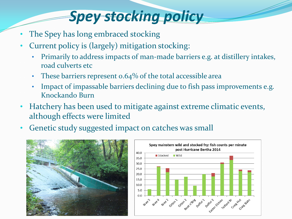## *Spey stocking policy*

- The Spey has long embraced stocking
- Current policy is (largely) mitigation stocking:
	- Primarily to address impacts of man-made barriers e.g. at distillery intakes, road culverts etc
	- These barriers represent  $0.64\%$  of the total accessible area
	- Impact of impassable barriers declining due to fish pass improvements e.g. Knockando Burn
- Hatchery has been used to mitigate against extreme climatic events, although effects were limited
- Genetic study suggested impact on catches was small



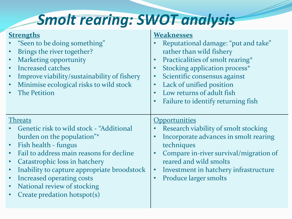# *Smolt rearing: SWOT analysis*

**Weaknesses**

#### **Strengths**

| "Seen to be doing something"<br>Brings the river together?<br>$\bullet$<br>Marketing opportunity<br>$\bullet$<br>Increased catches<br>Improve viability/sustainability of fishery<br>Minimise ecological risks to wild stock<br>$\bullet$<br><b>The Petition</b>                                                                                                                | Reputational damage: "put and take"<br>$\bullet$<br>rather than wild fishery<br>Practicalities of smolt rearing*<br>$\bullet$<br>Stocking application process*<br>$\bullet$<br>Scientific consensus against<br>$\bullet$<br>Lack of unified position<br>$\bullet$<br>Low returns of adult fish<br>$\bullet$   |
|---------------------------------------------------------------------------------------------------------------------------------------------------------------------------------------------------------------------------------------------------------------------------------------------------------------------------------------------------------------------------------|---------------------------------------------------------------------------------------------------------------------------------------------------------------------------------------------------------------------------------------------------------------------------------------------------------------|
|                                                                                                                                                                                                                                                                                                                                                                                 | Failure to identify returning fish<br>$\bullet$                                                                                                                                                                                                                                                               |
| <b>Threats</b><br>Genetic risk to wild stock - "Additional"<br>burden on the population"*<br>Fish health - fungus<br>$\bullet$<br>Fail to address main reasons for decline<br>Catastrophic loss in hatchery<br>Inability to capture appropriate broodstock<br>Increased operating costs<br>$\bullet$<br>National review of stocking<br>$\bullet$<br>Create predation hotspot(s) | <u>Opportunities</u><br>Research viability of smolt stocking<br>Incorporate advances in smolt rearing<br>$\bullet$<br>techniques<br>Compare in-river survival/migration of<br>$\bullet$<br>reared and wild smolts<br>Investment in hatchery infrastructure<br>$\bullet$<br>Produce larger smolts<br>$\bullet$ |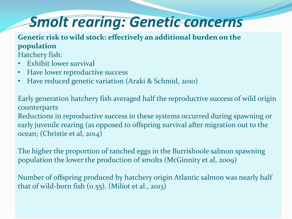# *Smolt rearing: Genetic concerns*

#### **Genetic risk to wild stock: effectively an additional burden on the population**

Hatchery fish:

- Exhibit lower survival
- Have lower reproductive success
- Have reduced genetic variation (Araki & Schmid, 2010)

Early generation hatchery fish averaged half the reproductive success of wild origin counterparts

Reductions in reproductive success in these systems occurred during spawning or early juvenile rearing (as opposed to offspring survival after migration out to the ocean; (Christie et al, 2014)

The higher the proportion of ranched eggs in the Burrishoole salmon spawning population the lower the production of smolts (McGinnity et al, 2009)

Number of offspring produced by hatchery origin Atlantic salmon was nearly half that of wild-born fish (0.55). (Miliot et al., 2013)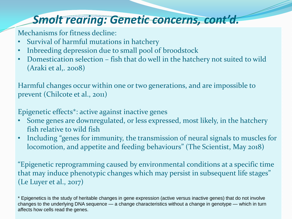### *Smolt rearing: Genetic concerns, cont'd.*

Mechanisms for fitness decline:

- Survival of harmful mutations in hatchery
- Inbreeding depression due to small pool of broodstock
- Domestication selection fish that do well in the hatchery not suited to wild (Araki et al,. 2008)

Harmful changes occur within one or two generations, and are impossible to prevent (Chilcote et al., 2011)

Epigenetic effects\*: active against inactive genes

- Some genes are downregulated, or less expressed, most likely, in the hatchery fish relative to wild fish
- Including "genes for immunity, the transmission of neural signals to muscles for locomotion, and appetite and feeding behaviours" (The Scientist, May 2018)

"Epigenetic reprogramming caused by environmental conditions at a specific time that may induce phenotypic changes which may persist in subsequent life stages" (Le Luyer et al., 2017)

<sup>\*</sup> Epigenetics is the study of heritable changes in gene expression (active versus inactive genes) that do not involve changes to the underlying DNA sequence — a change characteristics without a change in genotype — which in turn affects how cells read the genes.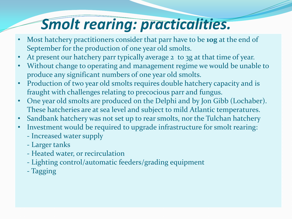# *Smolt rearing: practicalities.*

- Most hatchery practitioners consider that parr have to be **10g** at the end of September for the production of one year old smolts.
- At present our hatchery parr typically average 2 to 3g at that time of year.
- Without change to operating and management regime we would be unable to produce any significant numbers of one year old smolts.
- Production of two year old smolts requires double hatchery capacity and is fraught with challenges relating to precocious parr and fungus.
- One year old smolts are produced on the Delphi and by Jon Gibb (Lochaber). These hatcheries are at sea level and subject to mild Atlantic temperatures.
- Sandbank hatchery was not set up to rear smolts, nor the Tulchan hatchery
- Investment would be required to upgrade infrastructure for smolt rearing:
	- Increased water supply
	- Larger tanks
	- Heated water, or recirculation
	- Lighting control/automatic feeders/grading equipment
	- Tagging